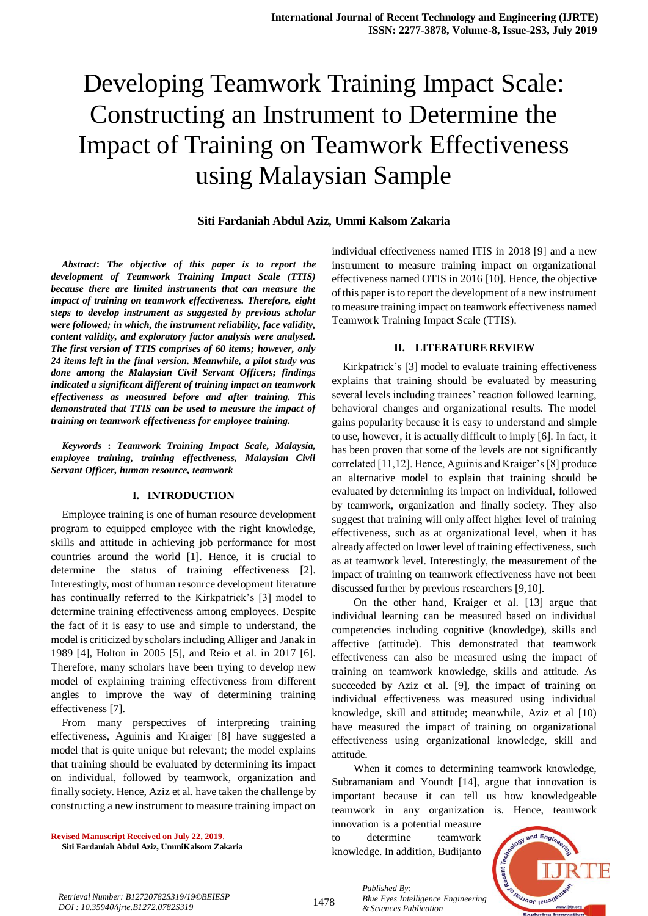# Developing Teamwork Training Impact Scale: Constructing an Instrument to Determine the Impact of Training on Teamwork Effectiveness using Malaysian Sample

# **Siti Fardaniah Abdul Aziz, Ummi Kalsom Zakaria**

*Abstract***:** *The objective of this paper is to report the development of Teamwork Training Impact Scale (TTIS) because there are limited instruments that can measure the impact of training on teamwork effectiveness. Therefore, eight steps to develop instrument as suggested by previous scholar were followed; in which, the instrument reliability, face validity, content validity, and exploratory factor analysis were analysed. The first version of TTIS comprises of 60 items; however, only 24 items left in the final version. Meanwhile, a pilot study was done among the Malaysian Civil Servant Officers; findings indicated a significant different of training impact on teamwork effectiveness as measured before and after training. This demonstrated that TTIS can be used to measure the impact of training on teamwork effectiveness for employee training.*

*Keywords* **:** *Teamwork Training Impact Scale, Malaysia, employee training, training effectiveness, Malaysian Civil Servant Officer, human resource, teamwork*

### **I. INTRODUCTION**

Employee training is one of human resource development program to equipped employee with the right knowledge, skills and attitude in achieving job performance for most countries around the world [1]. Hence, it is crucial to determine the status of training effectiveness [2]. Interestingly, most of human resource development literature has continually referred to the Kirkpatrick's [3] model to determine training effectiveness among employees. Despite the fact of it is easy to use and simple to understand, the model is criticized by scholars including Alliger and Janak in 1989 [4], Holton in 2005 [5], and Reio et al. in 2017 [6]. Therefore, many scholars have been trying to develop new model of explaining training effectiveness from different angles to improve the way of determining training effectiveness [7].

From many perspectives of interpreting training effectiveness, Aguinis and Kraiger [8] have suggested a model that is quite unique but relevant; the model explains that training should be evaluated by determining its impact on individual, followed by teamwork, organization and finally society. Hence, Aziz et al. have taken the challenge by constructing a new instrument to measure training impact on

**Revised Manuscript Received on July 22, 2019**. **Siti Fardaniah Abdul Aziz, UmmiKalsom Zakaria** individual effectiveness named ITIS in 2018 [9] and a new instrument to measure training impact on organizational effectiveness named OTIS in 2016 [10]. Hence, the objective of this paper is to report the development of a new instrument to measure training impact on teamwork effectiveness named Teamwork Training Impact Scale (TTIS).

#### **II. LITERATURE REVIEW**

Kirkpatrick's [3] model to evaluate training effectiveness explains that training should be evaluated by measuring several levels including trainees' reaction followed learning, behavioral changes and organizational results. The model gains popularity because it is easy to understand and simple to use, however, it is actually difficult to imply [6]. In fact, it has been proven that some of the levels are not significantly correlated [11,12]. Hence, Aguinis and Kraiger's [8] produce an alternative model to explain that training should be evaluated by determining its impact on individual, followed by teamwork, organization and finally society. They also suggest that training will only affect higher level of training effectiveness, such as at organizational level, when it has already affected on lower level of training effectiveness, such as at teamwork level. Interestingly, the measurement of the impact of training on teamwork effectiveness have not been discussed further by previous researchers [9,10].

On the other hand, Kraiger et al. [13] argue that individual learning can be measured based on individual competencies including cognitive (knowledge), skills and affective (attitude). This demonstrated that teamwork effectiveness can also be measured using the impact of training on teamwork knowledge, skills and attitude. As succeeded by Aziz et al. [9], the impact of training on individual effectiveness was measured using individual knowledge, skill and attitude; meanwhile, Aziz et al [10) have measured the impact of training on organizational effectiveness using organizational knowledge, skill and attitude.

When it comes to determining teamwork knowledge, Subramaniam and Youndt [14], argue that innovation is important because it can tell us how knowledgeable teamwork in any organization is. Hence, teamwork

innovation is a potential measure to determine teamwork knowledge. In addition, Budijanto



*Retrieval Number: B12720782S319/19©BEIESP DOI : 10.35940/ijrte.B1272.0782S319*

1478

*Published By: Blue Eyes Intelligence Engineering & Sciences Publication*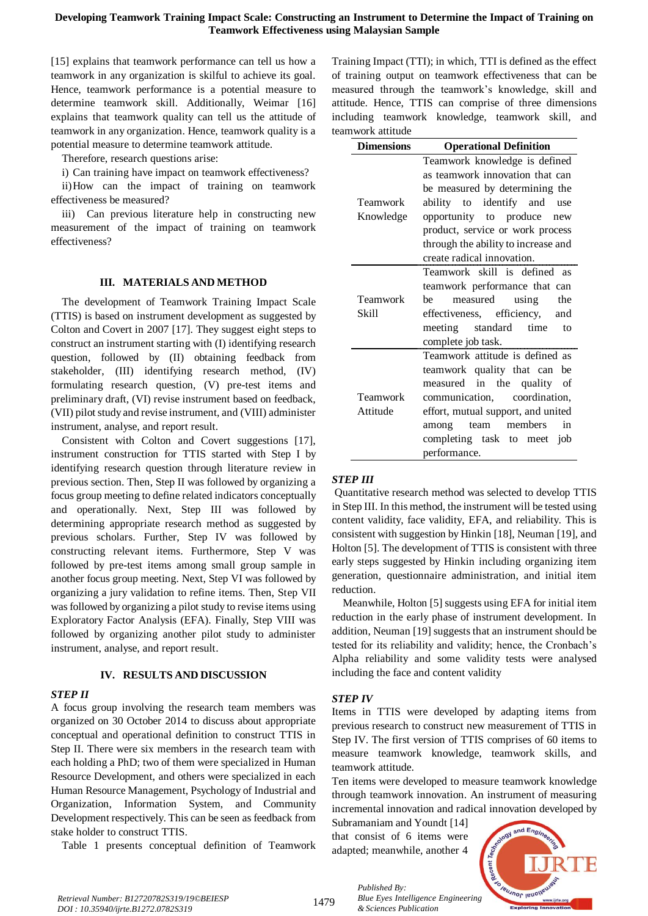[15] explains that teamwork performance can tell us how a teamwork in any organization is skilful to achieve its goal. Hence, teamwork performance is a potential measure to determine teamwork skill. Additionally, Weimar [16] explains that teamwork quality can tell us the attitude of teamwork in any organization. Hence, teamwork quality is a potential measure to determine teamwork attitude.

Therefore, research questions arise:

i) Can training have impact on teamwork effectiveness?

ii)How can the impact of training on teamwork effectiveness be measured?

iii) Can previous literature help in constructing new measurement of the impact of training on teamwork effectiveness?

## **III. MATERIALS AND METHOD**

The development of Teamwork Training Impact Scale (TTIS) is based on instrument development as suggested by Colton and Covert in 2007 [17]. They suggest eight steps to construct an instrument starting with (I) identifying research question, followed by (II) obtaining feedback from stakeholder, (III) identifying research method, (IV) formulating research question, (V) pre-test items and preliminary draft, (VI) revise instrument based on feedback, (VII) pilot study and revise instrument, and (VIII) administer instrument, analyse, and report result.

Consistent with Colton and Covert suggestions [17], instrument construction for TTIS started with Step I by identifying research question through literature review in previous section. Then, Step II was followed by organizing a focus group meeting to define related indicators conceptually and operationally. Next, Step III was followed by determining appropriate research method as suggested by previous scholars. Further, Step IV was followed by constructing relevant items. Furthermore, Step V was followed by pre-test items among small group sample in another focus group meeting. Next, Step VI was followed by organizing a jury validation to refine items. Then, Step VII was followed by organizing a pilot study to revise items using Exploratory Factor Analysis (EFA). Finally, Step VIII was followed by organizing another pilot study to administer instrument, analyse, and report result.

## **IV. RESULTS AND DISCUSSION**

# *STEP II*

A focus group involving the research team members was organized on 30 October 2014 to discuss about appropriate conceptual and operational definition to construct TTIS in Step II. There were six members in the research team with each holding a PhD; two of them were specialized in Human Resource Development, and others were specialized in each Human Resource Management, Psychology of Industrial and Organization, Information System, and Community Development respectively. This can be seen as feedback from stake holder to construct TTIS.

Table 1 presents conceptual definition of Teamwork

Training Impact (TTI); in which, TTI is defined as the effect of training output on teamwork effectiveness that can be measured through the teamwork's knowledge, skill and attitude. Hence, TTIS can comprise of three dimensions including teamwork knowledge, teamwork skill, and teamwork attitude

| <b>Dimensions</b> | <b>Operational Definition</b>       |  |  |  |  |  |
|-------------------|-------------------------------------|--|--|--|--|--|
|                   | Teamwork knowledge is defined       |  |  |  |  |  |
|                   | as teamwork innovation that can     |  |  |  |  |  |
|                   | be measured by determining the      |  |  |  |  |  |
| Teamwork          | ability to identify and<br>use      |  |  |  |  |  |
| Knowledge         | opportunity to produce new          |  |  |  |  |  |
|                   | product, service or work process    |  |  |  |  |  |
|                   | through the ability to increase and |  |  |  |  |  |
|                   | create radical innovation.          |  |  |  |  |  |
|                   | Teamwork skill is defined as        |  |  |  |  |  |
|                   | teamwork performance that can       |  |  |  |  |  |
| Teamwork          | measured<br>using<br>he —<br>the    |  |  |  |  |  |
| Skill             | effectiveness, efficiency,<br>and   |  |  |  |  |  |
|                   | meeting standard<br>time<br>to      |  |  |  |  |  |
|                   | complete job task.                  |  |  |  |  |  |
|                   | Teamwork attitude is defined as     |  |  |  |  |  |
|                   | teamwork quality that can be        |  |  |  |  |  |
|                   | measured in the quality of          |  |  |  |  |  |
| Teamwork          | communication, coordination,        |  |  |  |  |  |
| Attitude          | effort, mutual support, and united  |  |  |  |  |  |
|                   | in<br>members<br>among team         |  |  |  |  |  |
|                   | completing task to meet job         |  |  |  |  |  |
|                   | performance.                        |  |  |  |  |  |

## *STEP III*

Quantitative research method was selected to develop TTIS in Step III. In this method, the instrument will be tested using content validity, face validity, EFA, and reliability. This is consistent with suggestion by Hinkin [18], Neuman [19], and Holton [5]. The development of TTIS is consistent with three early steps suggested by Hinkin including organizing item generation, questionnaire administration, and initial item reduction.

Meanwhile, Holton [5] suggests using EFA for initial item reduction in the early phase of instrument development. In addition, Neuman [19] suggests that an instrument should be tested for its reliability and validity; hence, the Cronbach's Alpha reliability and some validity tests were analysed including the face and content validity

# *STEP IV*

Items in TTIS were developed by adapting items from previous research to construct new measurement of TTIS in Step IV. The first version of TTIS comprises of 60 items to measure teamwork knowledge, teamwork skills, and teamwork attitude.

Ten items were developed to measure teamwork knowledge through teamwork innovation. An instrument of measuring incremental innovation and radical innovation developed by

Subramaniam and Youndt [14] that consist of 6 items were adapted; meanwhile, another 4

*& Sciences Publication* 

*Published By:*



1479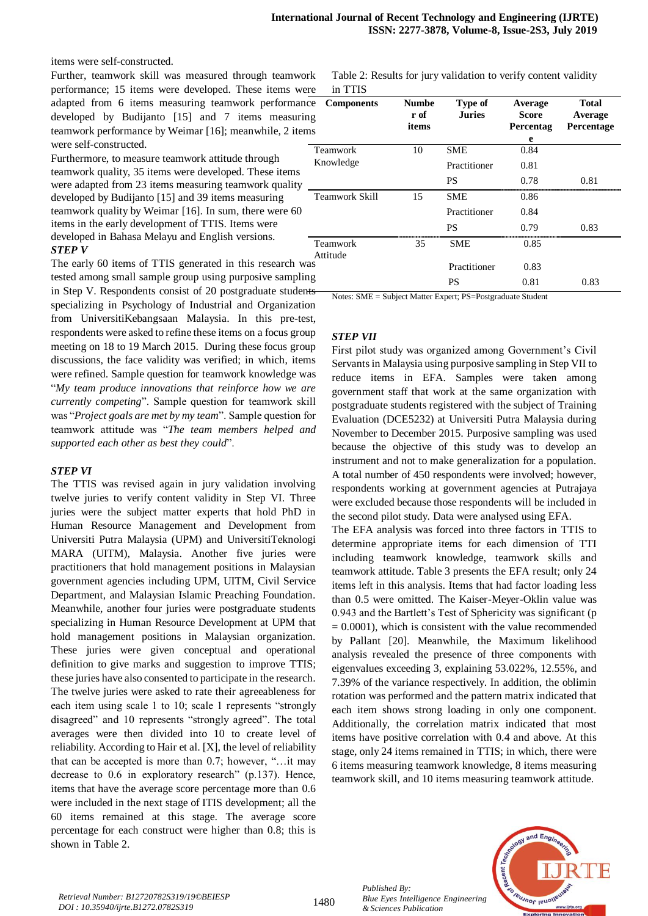items were self-constructed.

Further, teamwork skill was measured through teamwork performance; 15 items were developed. These items were adapted from 6 items measuring teamwork performance developed by Budijanto [15] and 7 items measuring teamwork performance by Weimar [16]; meanwhile, 2 item were self-constructed.

Furthermore, to measure teamwork attitude through teamwork quality, 35 items were developed. These items were adapted from 23 items measuring teamwork quality developed by Budijanto [15] and 39 items measuring teamwork quality by Weimar [16]. In sum, there were 60 items in the early development of TTIS. Items were developed in Bahasa Melayu and English versions. *STEP V*

The early 60 items of TTIS generated in this research was tested among small sample group using purposive sampling in Step V. Respondents consist of 20 postgraduate students specializing in Psychology of Industrial and Organization from UniversitiKebangsaan Malaysia. In this pre-test, respondents were asked to refine these items on a focus group meeting on 18 to 19 March 2015. During these focus group discussions, the face validity was verified; in which, items were refined. Sample question for teamwork knowledge was "*My team produce innovations that reinforce how we are currently competing*". Sample question for teamwork skill was "*Project goals are met by my team*". Sample question for teamwork attitude was "*The team members helped and supported each other as best they could*".

#### *STEP VI*

The TTIS was revised again in jury validation involving twelve juries to verify content validity in Step VI. Three juries were the subject matter experts that hold PhD in Human Resource Management and Development from Universiti Putra Malaysia (UPM) and UniversitiTeknologi MARA (UITM), Malaysia. Another five juries were practitioners that hold management positions in Malaysian government agencies including UPM, UITM, Civil Service Department, and Malaysian Islamic Preaching Foundation. Meanwhile, another four juries were postgraduate students specializing in Human Resource Development at UPM that hold management positions in Malaysian organization. These juries were given conceptual and operational definition to give marks and suggestion to improve TTIS; these juries have also consented to participate in the research. The twelve juries were asked to rate their agreeableness for each item using scale 1 to 10; scale 1 represents "strongly disagreed" and 10 represents "strongly agreed". The total averages were then divided into 10 to create level of reliability. According to Hair et al. [X], the level of reliability that can be accepted is more than 0.7; however, "…it may decrease to 0.6 in exploratory research" (p.137). Hence, items that have the average score percentage more than 0.6 were included in the next stage of ITIS development; all the 60 items remained at this stage. The average score percentage for each construct were higher than 0.8; this is shown in Table 2.

Table 2: Results for jury validation to verify content validity in TTIS

| <b>Components</b><br>e:<br>ιg<br>ıs | <b>Numbe</b><br>r of<br>items | <b>Type of</b><br><b>Juries</b> | Average<br><b>Score</b><br>Percentag<br>e | <b>Total</b><br>Average<br>Percentage |
|-------------------------------------|-------------------------------|---------------------------------|-------------------------------------------|---------------------------------------|
| <b>Teamwork</b>                     | 10                            | <b>SME</b>                      | 0.84                                      |                                       |
| Knowledge                           |                               | Practitioner                    | 0.81                                      |                                       |
|                                     |                               | <b>PS</b>                       | 0.78                                      | 0.81                                  |
| <b>Teamwork Skill</b>               | 15                            | <b>SME</b>                      | 0.86                                      |                                       |
|                                     |                               | Practitioner                    | 0.84                                      |                                       |
|                                     |                               | <b>PS</b>                       | 0.79                                      | 0.83                                  |
| Teamwork<br>Attitude                | 35                            | <b>SME</b>                      | 0.85                                      |                                       |
| ìS                                  |                               | Practitioner                    | 0.83                                      |                                       |
| ıg<br>۰.                            |                               | <b>PS</b>                       | 0.81                                      | 0.83                                  |

Notes: SME = Subject Matter Expert; PS=Postgraduate Student

# *STEP VII*

First pilot study was organized among Government's Civil Servants in Malaysia using purposive sampling in Step VII to reduce items in EFA. Samples were taken among government staff that work at the same organization with postgraduate students registered with the subject of Training Evaluation (DCE5232) at Universiti Putra Malaysia during November to December 2015. Purposive sampling was used because the objective of this study was to develop an instrument and not to make generalization for a population. A total number of 450 respondents were involved; however, respondents working at government agencies at Putrajaya were excluded because those respondents will be included in the second pilot study. Data were analysed using EFA.

The EFA analysis was forced into three factors in TTIS to determine appropriate items for each dimension of TTI including teamwork knowledge, teamwork skills and teamwork attitude. Table 3 presents the EFA result; only 24 items left in this analysis. Items that had factor loading less than 0.5 were omitted. The Kaiser-Meyer-Oklin value was 0.943 and the Bartlett's Test of Sphericity was significant (p  $= 0.0001$ ), which is consistent with the value recommended by Pallant [20]. Meanwhile, the Maximum likelihood analysis revealed the presence of three components with eigenvalues exceeding 3, explaining 53.022%, 12.55%, and 7.39% of the variance respectively. In addition, the oblimin rotation was performed and the pattern matrix indicated that each item shows strong loading in only one component. Additionally, the correlation matrix indicated that most items have positive correlation with 0.4 and above. At this stage, only 24 items remained in TTIS; in which, there were 6 items measuring teamwork knowledge, 8 items measuring teamwork skill, and 10 items measuring teamwork attitude.



*Published By:*

*& Sciences Publication* 

*Blue Eyes Intelligence Engineering*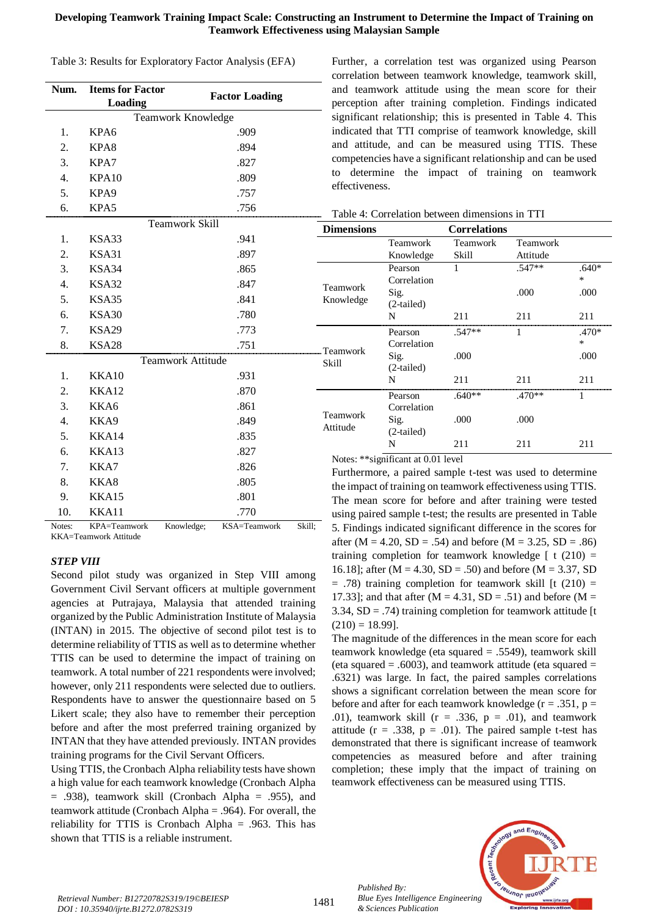## **Developing Teamwork Training Impact Scale: Constructing an Instrument to Determine the Impact of Training on Teamwork Effectiveness using Malaysian Sample**

Table 3: Results for Exploratory Factor Analysis (EFA)

| Num.             | <b>Items for Factor</b><br>Loading | <b>Factor Loading</b>    |   |
|------------------|------------------------------------|--------------------------|---|
|                  |                                    | Teamwork Knowledge       |   |
| 1.               | KPA6                               | .909                     |   |
| 2.               | KPA8                               | .894                     |   |
| 3.               | KPA7                               | .827                     |   |
| 4.               | KPA10                              | .809                     |   |
| 5.               | KPA9                               | .757                     |   |
| 6.               | KPA5                               | .756                     |   |
|                  |                                    | <b>Teamwork Skill</b>    |   |
| 1.               | KSA33                              | .941                     |   |
| 2.               | KSA31                              | .897                     |   |
| 3.               | KSA34                              | .865                     |   |
| 4.               | KSA32                              | .847                     |   |
| 5.               | KSA35                              | .841                     | I |
| 6.               | KSA30                              | .780                     |   |
| 7.               | <b>KSA29</b>                       | .773                     |   |
| 8.               | KSA28                              | .751                     |   |
|                  |                                    | <b>Teamwork Attitude</b> | S |
| 1.               | KKA10                              | .931                     |   |
| 2.               | KKA12                              | .870                     |   |
| 3.               | KKA6                               | .861                     |   |
| $\overline{4}$ . | KKA9                               | .849                     | F |
| 5.               | KKA14                              | .835                     |   |
| 6.               | KKA13                              | .827                     |   |
| 7.               | KKA7                               | .826                     |   |
| 8.               | KKA8                               | .805                     |   |
| 9.               | KKA15                              | .801                     |   |
| 10.              | KKA11                              | .770                     |   |

Notes: KPA=Teamwork Knowledge; KSA=Teamwork Skill; KKA=Teamwork Attitude

# *STEP VIII*

Second pilot study was organized in Step VIII among Government Civil Servant officers at multiple government agencies at Putrajaya, Malaysia that attended training organized by the Public Administration Institute of Malaysia (INTAN) in 2015. The objective of second pilot test is to determine reliability of TTIS as well as to determine whether TTIS can be used to determine the impact of training on teamwork. A total number of 221 respondents were involved; however, only 211 respondents were selected due to outliers. Respondents have to answer the questionnaire based on 5 Likert scale; they also have to remember their perception before and after the most preferred training organized by INTAN that they have attended previously. INTAN provides training programs for the Civil Servant Officers.

Using TTIS, the Cronbach Alpha reliability tests have shown a high value for each teamwork knowledge (Cronbach Alpha  $= .938$ ), teamwork skill (Cronbach Alpha  $= .955$ ), and teamwork attitude (Cronbach Alpha = .964). For overall, the reliability for TTIS is Cronbach Alpha = .963. This has shown that TTIS is a reliable instrument.

Further, a correlation test was organized using Pearson correlation between teamwork knowledge, teamwork skill, and teamwork attitude using the mean score for their perception after training completion. Findings indicated significant relationship; this is presented in Table 4. This indicated that TTI comprise of teamwork knowledge, skill and attitude, and can be measured using TTIS. These competencies have a significant relationship and can be used to determine the impact of training on teamwork effectiveness.

| Skill   | <b>Dimensions</b>    | <b>Correlations</b>  |          |          |         |  |
|---------|----------------------|----------------------|----------|----------|---------|--|
| .941    |                      | Teamwork             | Teamwork | Teamwork |         |  |
| .897    |                      | Knowledge            | Skill    | Attitude |         |  |
| .865    |                      | Pearson              | 1        | $.547**$ | $.640*$ |  |
| .847    | Teamwork             | Correlation          |          |          | $\ast$  |  |
| .841    | Knowledge            | Sig.<br>$(2-tailed)$ |          | .000     | .000    |  |
| .780    |                      | N                    | 211      | 211      | 211     |  |
| .773    |                      | Pearson              | $.547**$ |          | .470*   |  |
| .751    |                      | Correlation          |          |          | *       |  |
| ttitude | Teamwork<br>Skill    | Sig.<br>$(2-tailed)$ | .000     |          | .000    |  |
| .931    |                      | N                    | 211      | 211      | 211     |  |
| .870    |                      | Pearson              | $.640**$ | $.470**$ |         |  |
| .861    |                      | Correlation          |          |          |         |  |
| .849    | Teamwork<br>Attitude | Sig.                 | .000     | .000     |         |  |
| .835    |                      | $(2-tailed)$         |          |          |         |  |
| .827    |                      | N                    | 211      | 211      | 211     |  |

# Table 4: Correlation between dimensions in TTI

Notes: \*\*significant at 0.01 level

Furthermore, a paired sample t-test was used to determine the impact of training on teamwork effectiveness using TTIS. The mean score for before and after training were tested using paired sample t-test; the results are presented in Table 5. Findings indicated significant difference in the scores for after ( $M = 4.20$ ,  $SD = .54$ ) and before ( $M = 3.25$ ,  $SD = .86$ ) training completion for teamwork knowledge  $\lceil t (210) \rceil$ 16.18]; after ( $M = 4.30$ ,  $SD = .50$ ) and before ( $M = 3.37$ , SD  $=$  .78) training completion for teamwork skill [t (210)  $=$ 17.33]; and that after  $(M = 4.31, SD = .51)$  and before  $(M = 11.33)$ 3.34,  $SD = .74$ ) training completion for teamwork attitude [t  $(210) = 18.99$ ].

The magnitude of the differences in the mean score for each teamwork knowledge (eta squared = .5549), teamwork skill (eta squared  $= .6003$ ), and teamwork attitude (eta squared  $=$ .6321) was large. In fact, the paired samples correlations shows a significant correlation between the mean score for before and after for each teamwork knowledge ( $r = .351$ ,  $p =$ .01), teamwork skill ( $r = .336$ ,  $p = .01$ ), and teamwork attitude ( $r = .338$ ,  $p = .01$ ). The paired sample t-test has demonstrated that there is significant increase of teamwork competencies as measured before and after training completion; these imply that the impact of training on teamwork effectiveness can be measured using TTIS.

*Published By: Blue Eyes Intelligence Engineering & Sciences Publication* 



*Retrieval Number: B12720782S319/19©BEIESP DOI : 10.35940/ijrte.B1272.0782S319*

1481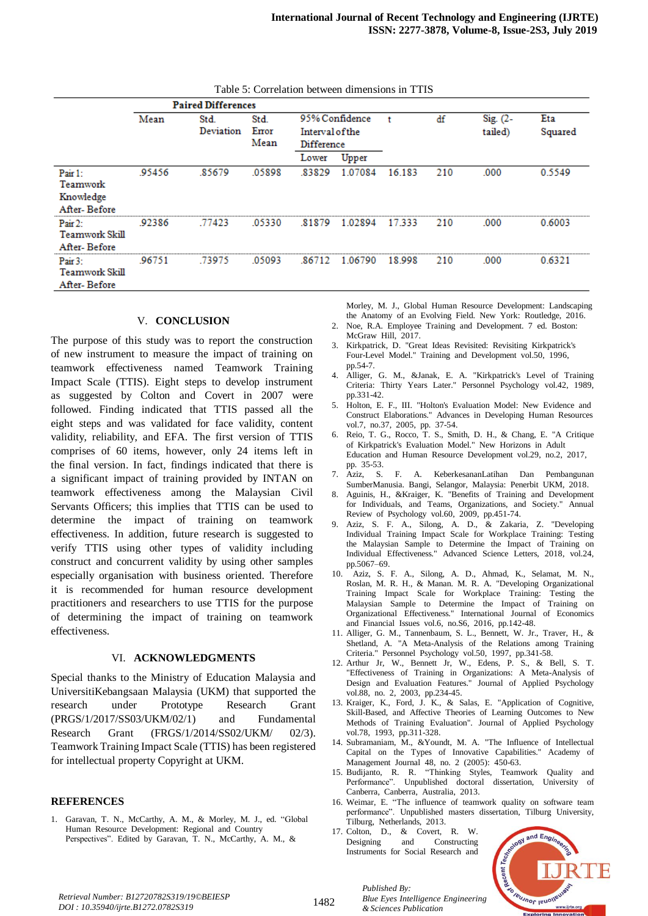|                                                     | <b>Paired Differences</b> |                   |                       |                                                        |         |        |     |                     |                |
|-----------------------------------------------------|---------------------------|-------------------|-----------------------|--------------------------------------------------------|---------|--------|-----|---------------------|----------------|
|                                                     | Mean                      | Std.<br>Deviation | Std.<br>Error<br>Mean | 95% Confidence<br><b>Interval of the</b><br>Difference |         |        | df  | Sig. (2-<br>tailed) | Eta<br>Squared |
|                                                     |                           |                   |                       | Lower                                                  | Upper   |        |     |                     |                |
| Pair $1$ :<br>Teamwork<br>Knowledge<br>After-Before | .95456                    | .85679            | .05898                | .83829                                                 | 1.07084 | 16.183 | 210 | .000                | 0.5549         |
| Pair 2:<br>Teamwork Skill<br>After-Before           | .92386                    | 77423             | 05330                 | 81879                                                  | 1.02894 | 17.333 | 210 | .000                | 0.6003         |
| Pair 3:<br><b>Teamwork Skill</b><br>After-Before    | .96751                    | .73975            | 05093                 | 86712                                                  | 1.06790 | 18.998 | 210 | .000                | 0.6321         |

Table 5: Correlation between dimensions in TTIS

#### V. **CONCLUSION**

The purpose of this study was to report the construction of new instrument to measure the impact of training on teamwork effectiveness named Teamwork Training Impact Scale (TTIS). Eight steps to develop instrument as suggested by Colton and Covert in 2007 were followed. Finding indicated that TTIS passed all the eight steps and was validated for face validity, content validity, reliability, and EFA. The first version of TTIS comprises of 60 items, however, only 24 items left in the final version. In fact, findings indicated that there is a significant impact of training provided by INTAN on teamwork effectiveness among the Malaysian Civil Servants Officers; this implies that TTIS can be used to determine the impact of training on teamwork effectiveness. In addition, future research is suggested to verify TTIS using other types of validity including construct and concurrent validity by using other samples especially organisation with business oriented. Therefore it is recommended for human resource development practitioners and researchers to use TTIS for the purpose of determining the impact of training on teamwork effectiveness.

#### VI. **ACKNOWLEDGMENTS**

Special thanks to the Ministry of Education Malaysia and UniversitiKebangsaan Malaysia (UKM) that supported the research under Prototype Research Grant (PRGS/1/2017/SS03/UKM/02/1) and Fundamental Research Grant (FRGS/1/2014/SS02/UKM/ 02/3). Teamwork Training Impact Scale (TTIS) has been registered for intellectual property Copyright at UKM.

#### **REFERENCES**

1. Garavan, T. N., McCarthy, A. M., & Morley, M. J., ed. "Global Human Resource Development: Regional and Country Perspectives". Edited by Garavan, T. N., McCarthy, A. M., &

Morley, M. J., Global Human Resource Development: Landscaping the Anatomy of an Evolving Field. New York: Routledge, 2016.

- 2. Noe, R.A. Employee Training and Development. 7 ed. Boston: McGraw Hill, 2017.
- 3. Kirkpatrick, D. "Great Ideas Revisited: Revisiting Kirkpatrick's Four-Level Model." Training and Development vol.50, 1996, pp.54-7.
- 4. Alliger, G. M., &Janak, E. A. "Kirkpatrick's Level of Training Criteria: Thirty Years Later." Personnel Psychology vol.42, 1989, pp.331-42.
- 5. Holton, E. F., III. "Holton's Evaluation Model: New Evidence and Construct Elaborations." Advances in Developing Human Resources vol.7, no.37, 2005, pp. 37-54.
- 6. Reio, T. G., Rocco, T. S., Smith, D. H., & Chang, E. "A Critique of Kirkpatrick's Evaluation Model." New Horizons in Adult Education and Human Resource Development vol.29, no.2, 2017, pp. 35-53.
- 7. Aziz, S. F. A. KeberkesananLatihan Dan Pembangunan SumberManusia. Bangi, Selangor, Malaysia: Penerbit UKM, 2018.
- Aguinis, H., &Kraiger, K. "Benefits of Training and Development for Individuals, and Teams, Organizations, and Society." Annual Review of Psychology vol.60, 2009, pp.451-74.
- 9. Aziz, S. F. A., Silong, A. D., & Zakaria, Z. "Developing Individual Training Impact Scale for Workplace Training: Testing the Malaysian Sample to Determine the Impact of Training on Individual Effectiveness." Advanced Science Letters, 2018, vol.24, pp.5067–69.
- 10. Aziz, S. F. A., Silong, A. D., Ahmad, K., Selamat, M. N., Roslan, M. R. H., & Manan. M. R. A. "Developing Organizational Training Impact Scale for Workplace Training: Testing the Malaysian Sample to Determine the Impact of Training on Organizational Effectiveness." International Journal of Economics and Financial Issues vol.6, no.S6, 2016, pp.142-48.
- 11. Alliger, G. M., Tannenbaum, S. L., Bennett, W. Jr., Traver, H., & Shetland, A. "A Meta-Analysis of the Relations among Training Criteria." Personnel Psychology vol.50, 1997, pp.341-58.
- 12. Arthur Jr, W., Bennett Jr, W., Edens, P. S., & Bell, S. T. "Effectiveness of Training in Organizations: A Meta-Analysis of Design and Evaluation Features." Journal of Applied Psychology vol.88, no. 2, 2003, pp.234-45.
- 13. Kraiger, K., Ford, J. K., & Salas, E. "Application of Cognitive, Skill-Based, and Affective Theories of Learning Outcomes to New Methods of Training Evaluation". Journal of Applied Psychology vol.78, 1993, pp.311-328.
- 14. Subramaniam, M., &Youndt, M. A. "The Influence of Intellectual Capital on the Types of Innovative Capabilities." Academy of Management Journal 48, no. 2 (2005): 450-63.
- 15. Budijanto, R. R. "Thinking Styles, Teamwork Quality and Performance". Unpublished doctoral dissertation, University of Canberra, Canberra, Australia, 2013.
- 16. Weimar, E. "The influence of teamwork quality on software team performance". Unpublished masters dissertation, Tilburg University, Tilburg, Netherlands, 2013.
- 17. Colton, D., & Covert, R. W. Designing and Constructing Instruments for Social Research and



*Retrieval Number: B12720782S319/19©BEIESP DOI : 10.35940/ijrte.B1272.0782S319*

1482

*Published By: Blue Eyes Intelligence Engineering & Sciences Publication*